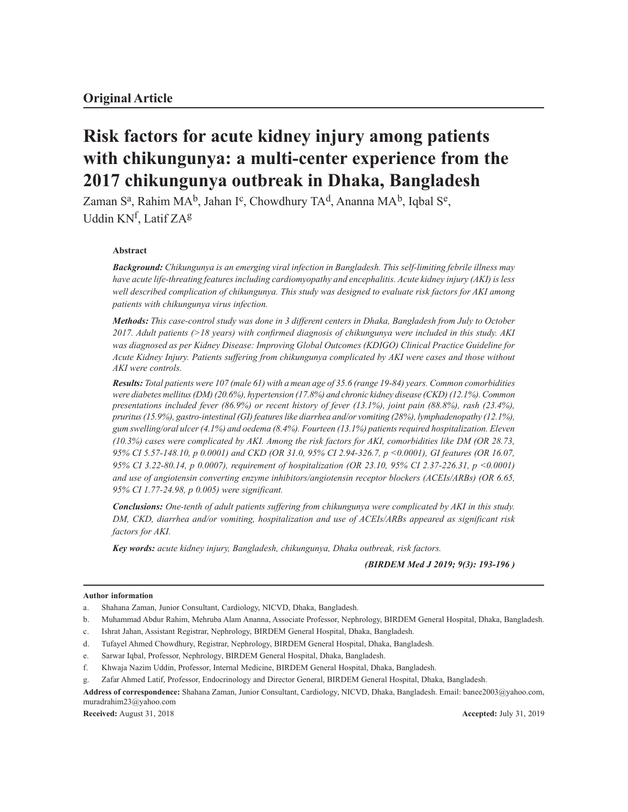# **Risk factors for acute kidney injury among patients with chikungunya: a multi-center experience from the 2017 chikungunya outbreak in Dhaka, Bangladesh**

Zaman S<sup>a</sup>, Rahim MA<sup>b</sup>, Jahan I<sup>c</sup>, Chowdhury TA<sup>d</sup>, Ananna MA<sup>b</sup>, Iqbal S<sup>e</sup>, Uddin KN<sup>f</sup>, Latif ZA<sup>g</sup>

## **Abstract**

*Background: Chikungunya is an emerging viral infection in Bangladesh. This self-limiting febrile illness may have acute life-threating features including cardiomyopathy and encephalitis. Acute kidney injury (AKI) is less well described complication of chikungunya. This study was designed to evaluate risk factors for AKI among patients with chikungunya virus infection.*

*Methods: This case-control study was done in 3 different centers in Dhaka, Bangladesh from July to October 2017. Adult patients (>18 years) with confirmed diagnosis of chikungunya were included in this study. AKI was diagnosed as per Kidney Disease: Improving Global Outcomes (KDIGO) Clinical Practice Guideline for Acute Kidney Injury. Patients suffering from chikungunya complicated by AKI were cases and those without AKI were controls.*

*Results: Total patients were 107 (male 61) with a mean age of 35.6 (range 19-84) years. Common comorbidities were diabetes mellitus (DM) (20.6%), hypertension (17.8%) and chronic kidney disease (CKD) (12.1%). Common presentations included fever (86.9%) or recent history of fever (13.1%), joint pain (88.8%), rash (23.4%), pruritus (15.9%), gastro-intestinal (GI) features like diarrhea and/or vomiting (28%), lymphadenopathy (12.1%), gum swelling/oral ulcer (4.1%) and oedema (8.4%). Fourteen (13.1%) patients required hospitalization. Eleven (10.3%) cases were complicated by AKI. Among the risk factors for AKI, comorbidities like DM (OR 28.73, 95% CI 5.57-148.10, p 0.0001) and CKD (OR 31.0, 95% CI 2.94-326.7, p <0.0001), GI features (OR 16.07, 95% CI 3.22-80.14, p 0.0007), requirement of hospitalization (OR 23.10, 95% CI 2.37-226.31, p <0.0001) and use of angiotensin converting enzyme inhibitors/angiotensin receptor blockers (ACEIs/ARBs) (OR 6.65, 95% CI 1.77-24.98, p 0.005) were significant.*

*Conclusions: One-tenth of adult patients suffering from chikungunya were complicated by AKI in this study. DM, CKD, diarrhea and/or vomiting, hospitalization and use of ACEIs/ARBs appeared as significant risk factors for AKI.*

*Key words: acute kidney injury, Bangladesh, chikungunya, Dhaka outbreak, risk factors.*

## *(BIRDEM Med J 2019; 9(3): 193-196 )*

#### **Author information**

- b. Muhammad Abdur Rahim, Mehruba Alam Ananna, Associate Professor, Nephrology, BIRDEM General Hospital, Dhaka, Bangladesh.
- c. Ishrat Jahan, Assistant Registrar, Nephrology, BIRDEM General Hospital, Dhaka, Bangladesh.
- d. Tufayel Ahmed Chowdhury, Registrar, Nephrology, BIRDEM General Hospital, Dhaka, Bangladesh.
- e. Sarwar Iqbal, Professor, Nephrology, BIRDEM General Hospital, Dhaka, Bangladesh.
- f. Khwaja Nazim Uddin, Professor, Internal Medicine, BIRDEM General Hospital, Dhaka, Bangladesh.
- g. Zafar Ahmed Latif, Professor, Endocrinology and Director General, BIRDEM General Hospital, Dhaka, Bangladesh.

a. Shahana Zaman, Junior Consultant, Cardiology, NICVD, Dhaka, Bangladesh.

**Address of correspondence:** Shahana Zaman, Junior Consultant, Cardiology, NICVD, Dhaka, Bangladesh. Email: banee2003@yahoo.com, muradrahim23@yahoo.com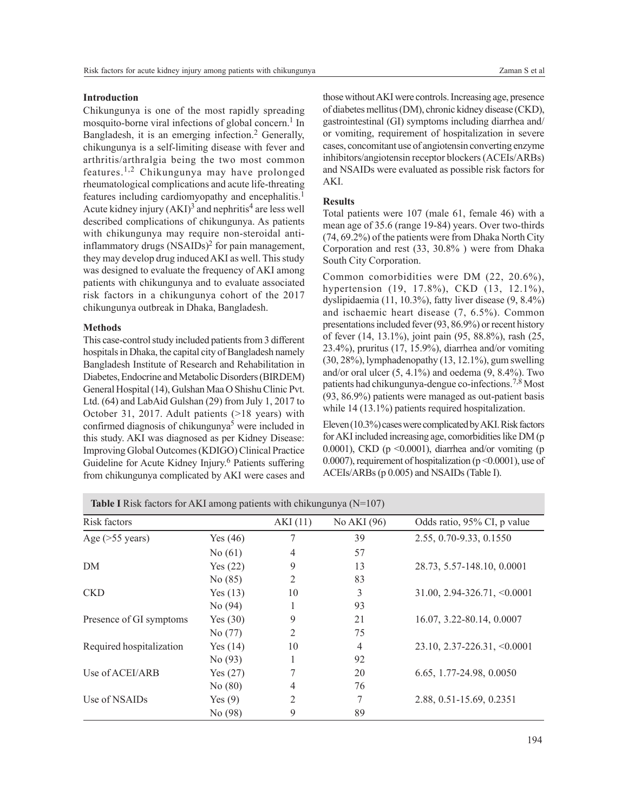## **Introduction**

Chikungunya is one of the most rapidly spreading mosquito-borne viral infections of global concern.<sup>1</sup> In Bangladesh, it is an emerging infection.<sup>2</sup> Generally, chikungunya is a self-limiting disease with fever and arthritis/arthralgia being the two most common features.1,2 Chikungunya may have prolonged rheumatological complications and acute life-threating features including cardiomyopathy and encephalitis.<sup>1</sup> Acute kidney injury (AKI)<sup>3</sup> and nephritis<sup>4</sup> are less well described complications of chikungunya. As patients with chikungunya may require non-steroidal antiinflammatory drugs (NSAIDs)<sup>2</sup> for pain management, they may develop drug induced AKI as well. This study was designed to evaluate the frequency of AKI among patients with chikungunya and to evaluate associated risk factors in a chikungunya cohort of the 2017 chikungunya outbreak in Dhaka, Bangladesh.

### **Methods**

This case-control study included patients from 3 different hospitals in Dhaka, the capital city of Bangladesh namely Bangladesh Institute of Research and Rehabilitation in Diabetes, Endocrine and Metabolic Disorders (BIRDEM) General Hospital (14), Gulshan Maa O Shishu Clinic Pvt. Ltd. (64) and LabAid Gulshan (29) from July 1, 2017 to October 31, 2017. Adult patients (>18 years) with confirmed diagnosis of chikungunya<sup>5</sup> were included in this study. AKI was diagnosed as per Kidney Disease: Improving Global Outcomes (KDIGO) Clinical Practice Guideline for Acute Kidney Injury.<sup>6</sup> Patients suffering from chikungunya complicated by AKI were cases and

those without AKI were controls. Increasing age, presence of diabetes mellitus (DM), chronic kidney disease (CKD), gastrointestinal (GI) symptoms including diarrhea and/ or vomiting, requirement of hospitalization in severe cases, concomitant use of angiotensin converting enzyme inhibitors/angiotensin receptor blockers (ACEIs/ARBs) and NSAIDs were evaluated as possible risk factors for AKI.

#### **Results**

Total patients were 107 (male 61, female 46) with a mean age of 35.6 (range 19-84) years. Over two-thirds (74, 69.2%) of the patients were from Dhaka North City Corporation and rest (33, 30.8% ) were from Dhaka South City Corporation.

Common comorbidities were DM (22, 20.6%), hypertension (19, 17.8%), CKD (13, 12.1%), dyslipidaemia (11, 10.3%), fatty liver disease (9, 8.4%) and ischaemic heart disease (7, 6.5%). Common presentations included fever (93, 86.9%) or recent history of fever (14, 13.1%), joint pain (95, 88.8%), rash (25, 23.4%), pruritus (17, 15.9%), diarrhea and/or vomiting (30, 28%), lymphadenopathy (13, 12.1%), gum swelling and/or oral ulcer  $(5, 4.1\%)$  and oedema  $(9, 8.4\%)$ . Two patients had chikungunya-dengue co-infections.7,8 Most (93, 86.9%) patients were managed as out-patient basis while 14 (13.1%) patients required hospitalization.

Eleven (10.3%) cases were complicated by AKI. Risk factors for AKI included increasing age, comorbidities like DM (p 0.0001), CKD ( $p \le 0.0001$ ), diarrhea and/or vomiting ( $p$ ) 0.0007), requirement of hospitalization (p <0.0001), use of ACEIs/ARBs (p 0.005) and NSAIDs (Table I).

| Risk factors             |            | AKI(11)        | No AKI (96) | Odds ratio, 95% CI, p value         |
|--------------------------|------------|----------------|-------------|-------------------------------------|
| Age $($ >55 years $)$    | Yes $(46)$ | 7              | 39          | 2.55, 0.70-9.33, 0.1550             |
|                          | No $(61)$  | $\overline{4}$ | 57          |                                     |
| DM                       | Yes $(22)$ | 9              | 13          | 28.73, 5.57-148.10, 0.0001          |
|                          | No(85)     | $\overline{2}$ | 83          |                                     |
| <b>CKD</b>               | Yes $(13)$ | 10             | 3           | $31.00, 2.94-326.71, \le 0.0001$    |
|                          | No(94)     | 1              | 93          |                                     |
| Presence of GI symptoms  | Yes $(30)$ | 9              | 21          | 16.07, 3.22-80.14, 0.0007           |
|                          | No(77)     | 2              | 75          |                                     |
| Required hospitalization | Yes $(14)$ | 10             | 4           | $23.10, 2.37 - 226.31, \leq 0.0001$ |
|                          | No(93)     | 1              | 92          |                                     |
| Use of ACEI/ARB          | Yes $(27)$ | 7              | 20          | 6.65, 1.77-24.98, 0.0050            |
|                          | No $(80)$  | 4              | 76          |                                     |
| Use of NSAIDs            | Yes $(9)$  | $\overline{2}$ | 7           | 2.88, 0.51-15.69, 0.2351            |
|                          | No (98)    | 9              | 89          |                                     |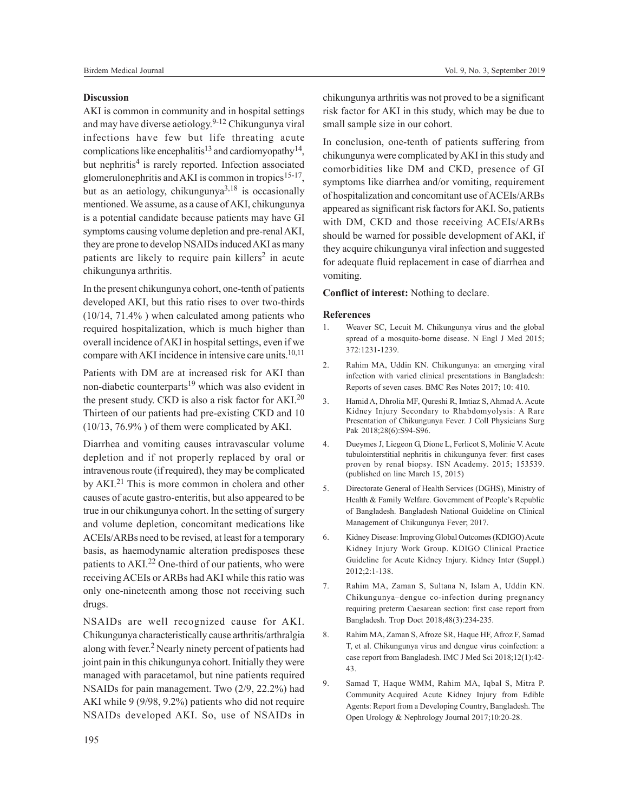## **Discussion**

AKI is common in community and in hospital settings and may have diverse aetiology. 9-12 Chikungunya viral infections have few but life threating acute complications like encephalitis<sup>13</sup> and cardiomyopathy<sup>14</sup>, but nephritis<sup>4</sup> is rarely reported. Infection associated glomerulonephritis and AKI is common in tropics<sup>15-17</sup>, but as an aetiology, chikungunya $3,18$  is occasionally mentioned. We assume, as a cause of AKI, chikungunya is a potential candidate because patients may have GI symptoms causing volume depletion and pre-renal AKI, they are prone to develop NSAIDs induced AKI as many patients are likely to require pain killers<sup>2</sup> in acute chikungunya arthritis.

In the present chikungunya cohort, one-tenth of patients developed AKI, but this ratio rises to over two-thirds (10/14, 71.4% ) when calculated among patients who required hospitalization, which is much higher than overall incidence of AKI in hospital settings, even if we compare with AKI incidence in intensive care units.<sup>10,11</sup>

Patients with DM are at increased risk for AKI than non-diabetic counterparts<sup>19</sup> which was also evident in the present study. CKD is also a risk factor for  $AKI<sup>20</sup>$ Thirteen of our patients had pre-existing CKD and 10 (10/13, 76.9% ) of them were complicated by AKI.

Diarrhea and vomiting causes intravascular volume depletion and if not properly replaced by oral or intravenous route (if required), they may be complicated by AKI.<sup>21</sup> This is more common in cholera and other causes of acute gastro-enteritis, but also appeared to be true in our chikungunya cohort. In the setting of surgery and volume depletion, concomitant medications like ACEIs/ARBs need to be revised, at least for a temporary basis, as haemodynamic alteration predisposes these patients to AKI.<sup>22</sup> One-third of our patients, who were receiving ACEIs or ARBs had AKI while this ratio was only one-nineteenth among those not receiving such drugs.

NSAIDs are well recognized cause for AKI. Chikungunya characteristically cause arthritis/arthralgia along with fever.<sup>2</sup> Nearly ninety percent of patients had joint pain in this chikungunya cohort. Initially they were managed with paracetamol, but nine patients required NSAIDs for pain management. Two (2/9, 22.2%) had AKI while 9 (9/98, 9.2%) patients who did not require NSAIDs developed AKI. So, use of NSAIDs in

chikungunya arthritis was not proved to be a significant risk factor for AKI in this study, which may be due to small sample size in our cohort.

In conclusion, one-tenth of patients suffering from chikungunya were complicated by AKI in this study and comorbidities like DM and CKD, presence of GI symptoms like diarrhea and/or vomiting, requirement of hospitalization and concomitant use of ACEIs/ARBs appeared as significant risk factors for AKI. So, patients with DM, CKD and those receiving ACEIs/ARBs should be warned for possible development of AKI, if they acquire chikungunya viral infection and suggested for adequate fluid replacement in case of diarrhea and vomiting.

## **Conflict of interest:** Nothing to declare.

### **References**

- 1. Weaver SC, Lecuit M. Chikungunya virus and the global spread of a mosquito-borne disease. N Engl J Med 2015; 372:1231-1239.
- 2. Rahim MA, Uddin KN. Chikungunya: an emerging viral infection with varied clinical presentations in Bangladesh: Reports of seven cases. BMC Res Notes 2017; 10: 410.
- 3. Hamid A, Dhrolia MF, Qureshi R, Imtiaz S, Ahmad A. Acute Kidney Injury Secondary to Rhabdomyolysis: A Rare Presentation of Chikungunya Fever. J Coll Physicians Surg Pak 2018;28(6):S94-S96.
- 4. Dueymes J, Liegeon G, Dione L, Ferlicot S, Molinie V. Acute tubulointerstitial nephritis in chikungunya fever: first cases proven by renal biopsy. ISN Academy. 2015; 153539. (published on line March 15, 2015)
- 5. Directorate General of Health Services (DGHS), Ministry of Health & Family Welfare. Government of People's Republic of Bangladesh. Bangladesh National Guideline on Clinical Management of Chikungunya Fever; 2017.
- 6. Kidney Disease: Improving Global Outcomes (KDIGO) Acute Kidney Injury Work Group. KDIGO Clinical Practice Guideline for Acute Kidney Injury. Kidney Inter (Suppl.) 2012;2:1-138.
- 7. Rahim MA, Zaman S, Sultana N, Islam A, Uddin KN. Chikungunya–dengue co-infection during pregnancy requiring preterm Caesarean section: first case report from Bangladesh. Trop Doct 2018;48(3):234-235.
- 8. Rahim MA, Zaman S, Afroze SR, Haque HF, Afroz F, Samad T, et al. Chikungunya virus and dengue virus coinfection: a case report from Bangladesh. IMC J Med Sci 2018;12(1):42- 43.
- 9. Samad T, Haque WMM, Rahim MA, Iqbal S, Mitra P. Community Acquired Acute Kidney Injury from Edible Agents: Report from a Developing Country, Bangladesh. The Open Urology & Nephrology Journal 2017;10:20-28.